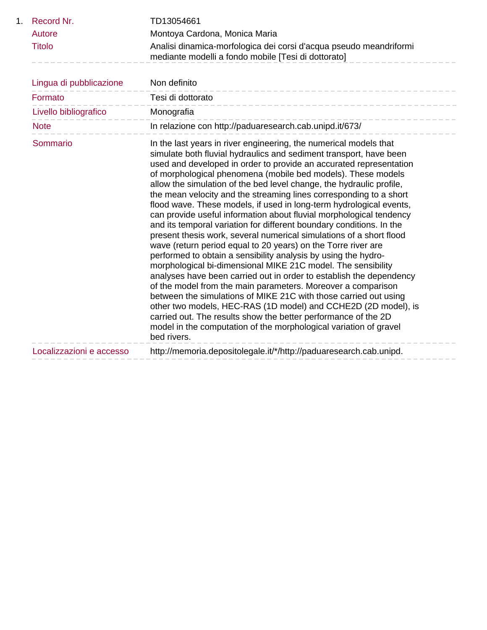| 1 <sub>1</sub> | Record Nr.               | TD13054661                                                                                                                                                                                                                                                                                                                                                                                                                                                                                                                                                                                                                                                                                                                                                                                                                                                                                                                                                                                                                                                                                                                                                                                                                                                                                                                                                     |
|----------------|--------------------------|----------------------------------------------------------------------------------------------------------------------------------------------------------------------------------------------------------------------------------------------------------------------------------------------------------------------------------------------------------------------------------------------------------------------------------------------------------------------------------------------------------------------------------------------------------------------------------------------------------------------------------------------------------------------------------------------------------------------------------------------------------------------------------------------------------------------------------------------------------------------------------------------------------------------------------------------------------------------------------------------------------------------------------------------------------------------------------------------------------------------------------------------------------------------------------------------------------------------------------------------------------------------------------------------------------------------------------------------------------------|
|                | Autore                   | Montoya Cardona, Monica Maria                                                                                                                                                                                                                                                                                                                                                                                                                                                                                                                                                                                                                                                                                                                                                                                                                                                                                                                                                                                                                                                                                                                                                                                                                                                                                                                                  |
|                | <b>Titolo</b>            | Analisi dinamica-morfologica dei corsi d'acqua pseudo meandriformi<br>mediante modelli a fondo mobile [Tesi di dottorato]                                                                                                                                                                                                                                                                                                                                                                                                                                                                                                                                                                                                                                                                                                                                                                                                                                                                                                                                                                                                                                                                                                                                                                                                                                      |
|                | Lingua di pubblicazione  | Non definito                                                                                                                                                                                                                                                                                                                                                                                                                                                                                                                                                                                                                                                                                                                                                                                                                                                                                                                                                                                                                                                                                                                                                                                                                                                                                                                                                   |
|                | Formato                  | Tesi di dottorato                                                                                                                                                                                                                                                                                                                                                                                                                                                                                                                                                                                                                                                                                                                                                                                                                                                                                                                                                                                                                                                                                                                                                                                                                                                                                                                                              |
|                | Livello bibliografico    | Monografia                                                                                                                                                                                                                                                                                                                                                                                                                                                                                                                                                                                                                                                                                                                                                                                                                                                                                                                                                                                                                                                                                                                                                                                                                                                                                                                                                     |
|                | <b>Note</b>              | In relazione con http://paduaresearch.cab.unipd.it/673/                                                                                                                                                                                                                                                                                                                                                                                                                                                                                                                                                                                                                                                                                                                                                                                                                                                                                                                                                                                                                                                                                                                                                                                                                                                                                                        |
|                | Sommario                 | In the last years in river engineering, the numerical models that<br>simulate both fluvial hydraulics and sediment transport, have been<br>used and developed in order to provide an accurated representation<br>of morphological phenomena (mobile bed models). These models<br>allow the simulation of the bed level change, the hydraulic profile,<br>the mean velocity and the streaming lines corresponding to a short<br>flood wave. These models, if used in long-term hydrological events,<br>can provide useful information about fluvial morphological tendency<br>and its temporal variation for different boundary conditions. In the<br>present thesis work, several numerical simulations of a short flood<br>wave (return period equal to 20 years) on the Torre river are<br>performed to obtain a sensibility analysis by using the hydro-<br>morphological bi-dimensional MIKE 21C model. The sensibility<br>analyses have been carried out in order to establish the dependency<br>of the model from the main parameters. Moreover a comparison<br>between the simulations of MIKE 21C with those carried out using<br>other two models, HEC-RAS (1D model) and CCHE2D (2D model), is<br>carried out. The results show the better performance of the 2D<br>model in the computation of the morphological variation of gravel<br>bed rivers. |
|                | Localizzazioni e accesso | http://memoria.depositolegale.it/*/http://paduaresearch.cab.unipd.                                                                                                                                                                                                                                                                                                                                                                                                                                                                                                                                                                                                                                                                                                                                                                                                                                                                                                                                                                                                                                                                                                                                                                                                                                                                                             |
|                |                          |                                                                                                                                                                                                                                                                                                                                                                                                                                                                                                                                                                                                                                                                                                                                                                                                                                                                                                                                                                                                                                                                                                                                                                                                                                                                                                                                                                |